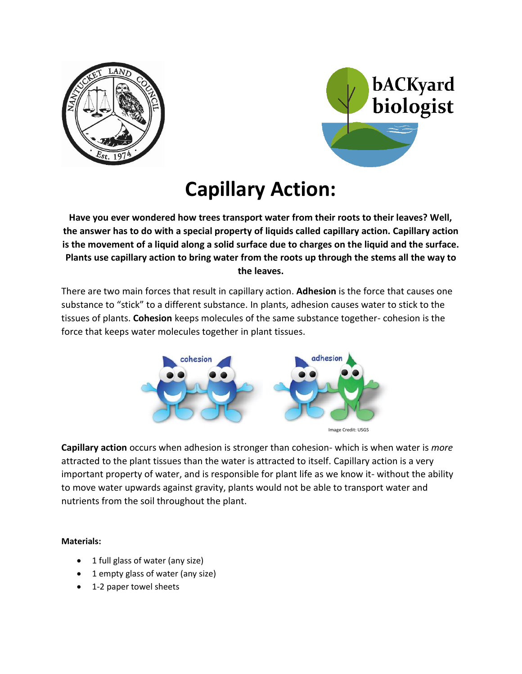



# **Capillary Action:**

**Have you ever wondered how trees transport water from their roots to their leaves? Well, the answer has to do with a special property of liquids called capillary action. Capillary action is the movement of a liquid along a solid surface due to charges on the liquid and the surface. Plants use capillary action to bring water from the roots up through the stems all the way to the leaves.**

There are two main forces that result in capillary action. **Adhesion** is the force that causes one substance to "stick" to a different substance. In plants, adhesion causes water to stick to the tissues of plants. **Cohesion** keeps molecules of the same substance together- cohesion is the force that keeps water molecules together in plant tissues.



**Capillary action** occurs when adhesion is stronger than cohesion- which is when water is *more* attracted to the plant tissues than the water is attracted to itself. Capillary action is a very important property of water, and is responsible for plant life as we know it- without the ability to move water upwards against gravity, plants would not be able to transport water and nutrients from the soil throughout the plant.

### **Materials:**

- 1 full glass of water (any size)
- 1 empty glass of water (any size)
- 1-2 paper towel sheets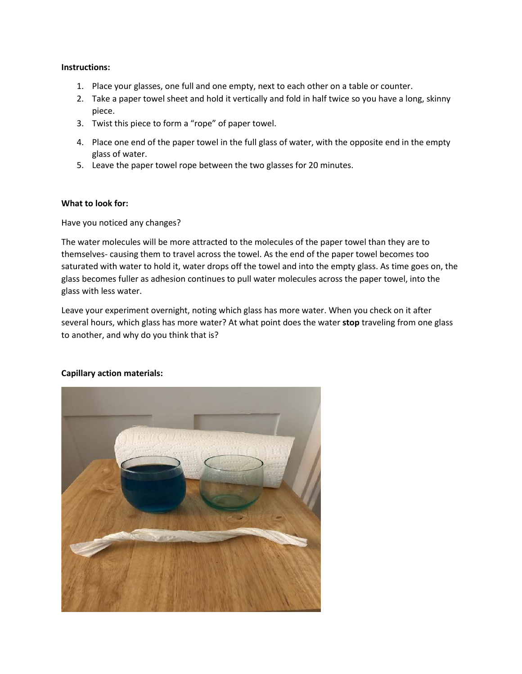#### **Instructions:**

- 1. Place your glasses, one full and one empty, next to each other on a table or counter.
- 2. Take a paper towel sheet and hold it vertically and fold in half twice so you have a long, skinny piece.
- 3. Twist this piece to form a "rope" of paper towel.
- 4. Place one end of the paper towel in the full glass of water, with the opposite end in the empty glass of water.
- 5. Leave the paper towel rope between the two glasses for 20 minutes.

#### **What to look for:**

Have you noticed any changes?

The water molecules will be more attracted to the molecules of the paper towel than they are to themselves- causing them to travel across the towel. As the end of the paper towel becomes too saturated with water to hold it, water drops off the towel and into the empty glass. As time goes on, the glass becomes fuller as adhesion continues to pull water molecules across the paper towel, into the glass with less water.

Leave your experiment overnight, noting which glass has more water. When you check on it after several hours, which glass has more water? At what point does the water **stop** traveling from one glass to another, and why do you think that is?

#### **Capillary action materials:**